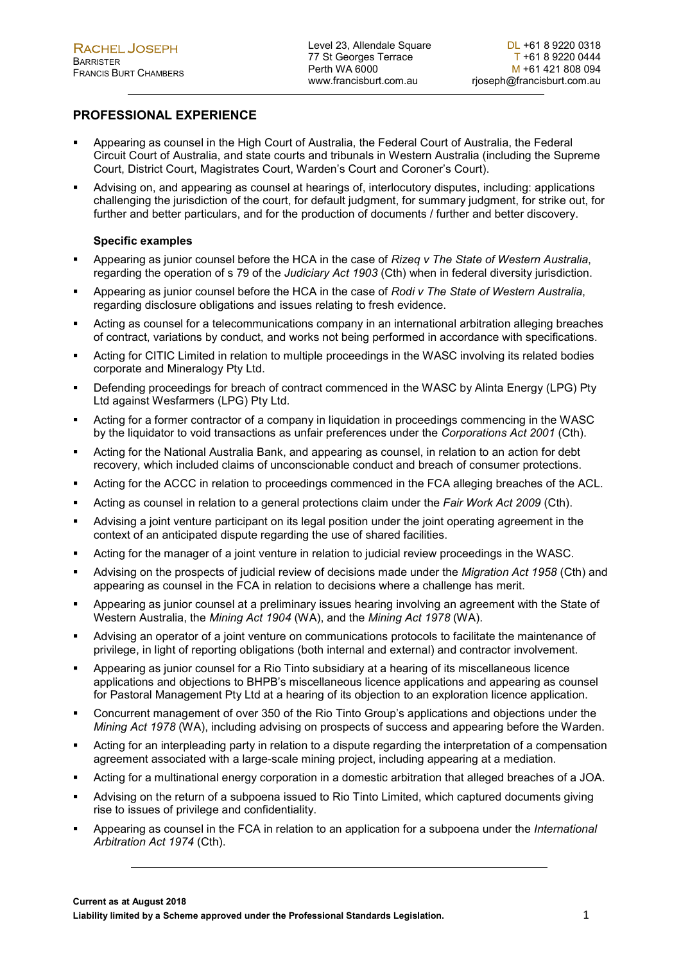# PROFESSIONAL EXPERIENCE

- Appearing as counsel in the High Court of Australia, the Federal Court of Australia, the Federal Circuit Court of Australia, and state courts and tribunals in Western Australia (including the Supreme Court, District Court, Magistrates Court, Warden's Court and Coroner's Court).
- Advising on, and appearing as counsel at hearings of, interlocutory disputes, including: applications challenging the jurisdiction of the court, for default judgment, for summary judgment, for strike out, for further and better particulars, and for the production of documents / further and better discovery.

## Specific examples

- Appearing as junior counsel before the HCA in the case of Rizeg v The State of Western Australia. regarding the operation of s 79 of the *Judiciary Act 1903* (Cth) when in federal diversity jurisdiction.
- Appearing as junior counsel before the HCA in the case of Rodi v The State of Western Australia, regarding disclosure obligations and issues relating to fresh evidence.
- Acting as counsel for a telecommunications company in an international arbitration alleging breaches of contract, variations by conduct, and works not being performed in accordance with specifications.
- Acting for CITIC Limited in relation to multiple proceedings in the WASC involving its related bodies corporate and Mineralogy Pty Ltd.
- Defending proceedings for breach of contract commenced in the WASC by Alinta Energy (LPG) Pty Ltd against Wesfarmers (LPG) Pty Ltd.
- Acting for a former contractor of a company in liquidation in proceedings commencing in the WASC by the liquidator to void transactions as unfair preferences under the Corporations Act 2001 (Cth).
- Acting for the National Australia Bank, and appearing as counsel, in relation to an action for debt recovery, which included claims of unconscionable conduct and breach of consumer protections.
- Acting for the ACCC in relation to proceedings commenced in the FCA alleging breaches of the ACL.
- **Acting as counsel in relation to a general protections claim under the Fair Work Act 2009 (Cth).**
- Advising a joint venture participant on its legal position under the joint operating agreement in the context of an anticipated dispute regarding the use of shared facilities.
- Acting for the manager of a joint venture in relation to judicial review proceedings in the WASC.
- Advising on the prospects of judicial review of decisions made under the Migration Act 1958 (Cth) and appearing as counsel in the FCA in relation to decisions where a challenge has merit.
- Appearing as junior counsel at a preliminary issues hearing involving an agreement with the State of Western Australia, the Mining Act 1904 (WA), and the Mining Act 1978 (WA).
- Advising an operator of a joint venture on communications protocols to facilitate the maintenance of privilege, in light of reporting obligations (both internal and external) and contractor involvement.
- Appearing as junior counsel for a Rio Tinto subsidiary at a hearing of its miscellaneous licence applications and objections to BHPB's miscellaneous licence applications and appearing as counsel for Pastoral Management Pty Ltd at a hearing of its objection to an exploration licence application.
- Concurrent management of over 350 of the Rio Tinto Group's applications and objections under the Mining Act 1978 (WA), including advising on prospects of success and appearing before the Warden.
- Acting for an interpleading party in relation to a dispute regarding the interpretation of a compensation agreement associated with a large-scale mining project, including appearing at a mediation.
- Acting for a multinational energy corporation in a domestic arbitration that alleged breaches of a JOA.
- Advising on the return of a subpoena issued to Rio Tinto Limited, which captured documents giving rise to issues of privilege and confidentiality.
- Appearing as counsel in the FCA in relation to an application for a subpoena under the International Arbitration Act 1974 (Cth).